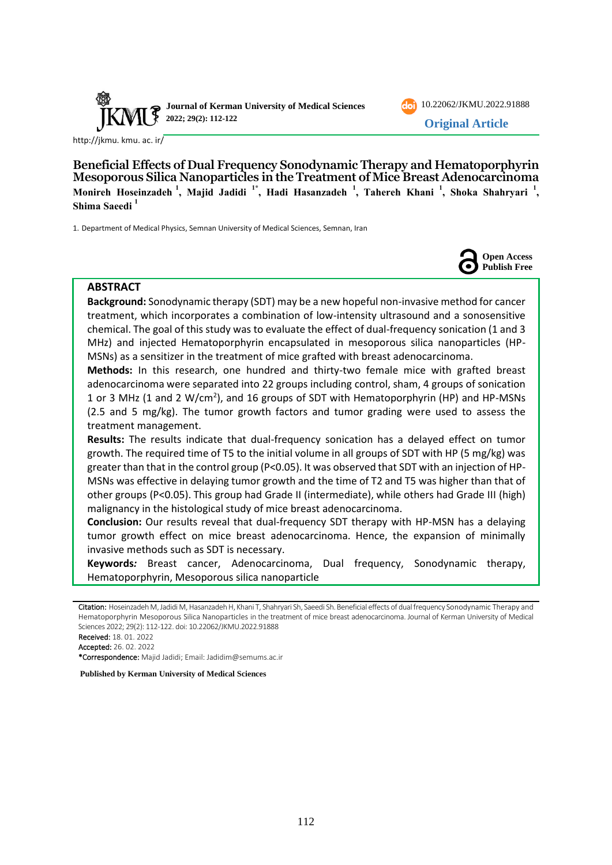



**Original Article**

[http://jkmu. kmu. ac. ir/](http://jkmu.kmu.ac.ir/)

**Beneficial Effects of Dual Frequency Sonodynamic Therapy and Hematoporphyrin Mesoporous Silica Nanoparticles in the Treatment of Mice Breast Adenocarcinoma Monireh Hoseinzadeh <sup>1</sup> , Majid Jadidi 1\*, Hadi Hasanzadeh <sup>1</sup> , Tahereh Khani <sup>1</sup> , Shoka Shahryari <sup>1</sup> , Shima Saeedi <sup>1</sup>**

1. Department of Medical Physics, Semnan University of Medical Sciences, Semnan, Iran



## **ABSTRACT**

**Background:** Sonodynamic therapy (SDT) may be a new hopeful non-invasive method for cancer treatment, which incorporates a combination of low-intensity ultrasound and a sonosensitive chemical. The goal of this study was to evaluate the effect of dual-frequency sonication (1 and 3 MHz) and injected Hematoporphyrin encapsulated in mesoporous silica nanoparticles (HP-MSNs) as a sensitizer in the treatment of mice grafted with breast adenocarcinoma.

**Methods:** In this research, one hundred and thirty-two female mice with grafted breast adenocarcinoma were separated into 22 groups including control, sham, 4 groups of sonication 1 or 3 MHz (1 and 2 W/cm<sup>2</sup>), and 16 groups of SDT with Hematoporphyrin (HP) and HP-MSNs (2.5 and 5 mg/kg). The tumor growth factors and tumor grading were used to assess the treatment management.

**Results:** The results indicate that dual-frequency sonication has a delayed effect on tumor growth. The required time of T5 to the initial volume in all groups of SDT with HP (5 mg/kg) was greater than that in the control group (P<0.05). It was observed that SDT with an injection of HP-MSNs was effective in delaying tumor growth and the time of T2 and T5 was higher than that of other groups (P<0.05). This group had Grade II (intermediate), while others had Grade III (high) malignancy in the histological study of mice breast adenocarcinoma.

**Conclusion:** Our results reveal that dual-frequency SDT therapy with HP-MSN has a delaying tumor growth effect on mice breast adenocarcinoma. Hence, the expansion of minimally invasive methods such as SDT is necessary.

**Keywords***:* Breast cancer, Adenocarcinoma, Dual frequency, Sonodynamic therapy, Hematoporphyrin, Mesoporous silica nanoparticle

**Published by Kerman University of Medical Sciences**

Citation: Hoseinzadeh M, Jadidi M, Hasanzadeh H, Khani T, Shahryari Sh, Saeedi Sh. Beneficial effects of dual frequency Sonodynamic Therapy and Hematoporphyrin Mesoporous Silica Nanoparticles in the treatment of mice breast adenocarcinoma. Journal of Kerman University of Medical Sciences 2022; 29(2): 112-122. doi: [10.22062/JKMU.2022.91888](https://dx.doi.org/10.22062/jkmu.2022.91888)

Received: 18. 01. 2022

Accepted: 26. 02. 2022

<sup>\*</sup>Correspondence: Majid Jadidi; Email: [Jadidim@semums.ac.ir](mailto:Jadidim@semums.ac.ir)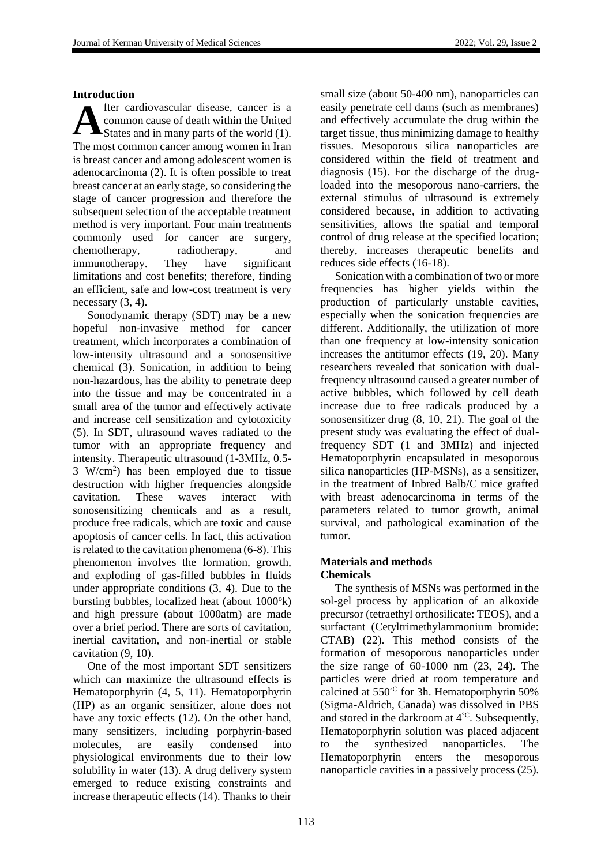#### **Introduction**

fter cardiovascular disease, cancer is a common cause of death within the United States and in many parts of the world (1). The most common cancer among women in Iran is breast cancer and among adolescent women is adenocarcinoma (2). It is often possible to treat breast cancer at an early stage, so considering the stage of cancer progression and therefore the subsequent selection of the acceptable treatment method is very important. Four main treatments commonly used for cancer are surgery, chemotherapy, radiotherapy, and immunotherapy. They have significant limitations and cost benefits; therefore, finding an efficient, safe and low-cost treatment is very necessary (3, 4). **A**

Sonodynamic therapy (SDT) may be a new hopeful non-invasive method for cancer treatment, which incorporates a combination of low-intensity ultrasound and a sonosensitive chemical (3). Sonication, in addition to being non-hazardous, has the ability to penetrate deep into the tissue and may be concentrated in a small area of the tumor and effectively activate and increase cell sensitization and cytotoxicity (5). In SDT, ultrasound waves radiated to the tumor with an appropriate frequency and intensity. Therapeutic ultrasound (1-3MHz, 0.5- 3 W/cm<sup>2</sup> ) has been employed due to tissue destruction with higher frequencies alongside cavitation. These waves interact with sonosensitizing chemicals and as a result, produce free radicals, which are toxic and cause apoptosis of cancer cells. In fact, this activation is related to the cavitation phenomena (6-8). This phenomenon involves the formation, growth, and exploding of gas-filled bubbles in fluids under appropriate conditions (3, 4). Due to the bursting bubbles, localized heat (about  $1000^\circ k$ ) and high pressure (about 1000atm) are made over a brief period. There are sorts of cavitation, inertial cavitation, and non-inertial or stable cavitation (9, 10).

One of the most important SDT sensitizers which can maximize the ultrasound effects is Hematoporphyrin (4, 5, 11). Hematoporphyrin (HP) as an organic sensitizer, alone does not have any toxic effects (12). On the other hand, many sensitizers, including porphyrin-based molecules, are easily condensed into physiological environments due to their low solubility in water (13). A drug delivery system emerged to reduce existing constraints and increase therapeutic effects (14). Thanks to their small size (about 50-400 nm), nanoparticles can easily penetrate cell dams (such as membranes) and effectively accumulate the drug within the target tissue, thus minimizing damage to healthy tissues. Mesoporous silica nanoparticles are considered within the field of treatment and diagnosis (15). For the discharge of the drugloaded into the mesoporous nano-carriers, the external stimulus of ultrasound is extremely considered because, in addition to activating sensitivities, allows the spatial and temporal control of drug release at the specified location; thereby, increases therapeutic benefits and reduces side effects (16-18).

Sonication with a combination of two or more frequencies has higher yields within the production of particularly unstable cavities, especially when the sonication frequencies are different. Additionally, the utilization of more than one frequency at low-intensity sonication increases the antitumor effects (19, 20). Many researchers revealed that sonication with dualfrequency ultrasound caused a greater number of active bubbles, which followed by cell death increase due to free radicals produced by a sonosensitizer drug (8, 10, 21). The goal of the present study was evaluating the effect of dualfrequency SDT (1 and 3MHz) and injected Hematoporphyrin encapsulated in mesoporous silica nanoparticles (HP-MSNs), as a sensitizer, in the treatment of Inbred Balb/C mice grafted with breast adenocarcinoma in terms of the parameters related to tumor growth, animal survival, and pathological examination of the tumor.

#### **Materials and methods Chemicals**

The synthesis of MSNs was performed in the sol-gel process by application of an alkoxide precursor (tetraethyl orthosilicate: TEOS), and a surfactant (Cetyltrimethylammonium bromide: CTAB) (22). This method consists of the formation of mesoporous nanoparticles under the size range of 60-1000 nm (23, 24). The particles were dried at room temperature and calcined at 550◦C for 3h. Hematoporphyrin 50% (Sigma-Aldrich, Canada) was dissolved in PBS and stored in the darkroom at  $4^{\degree}$ . Subsequently, Hematoporphyrin solution was placed adjacent to the synthesized nanoparticles. The Hematoporphyrin enters the mesoporous nanoparticle cavities in a passively process (25).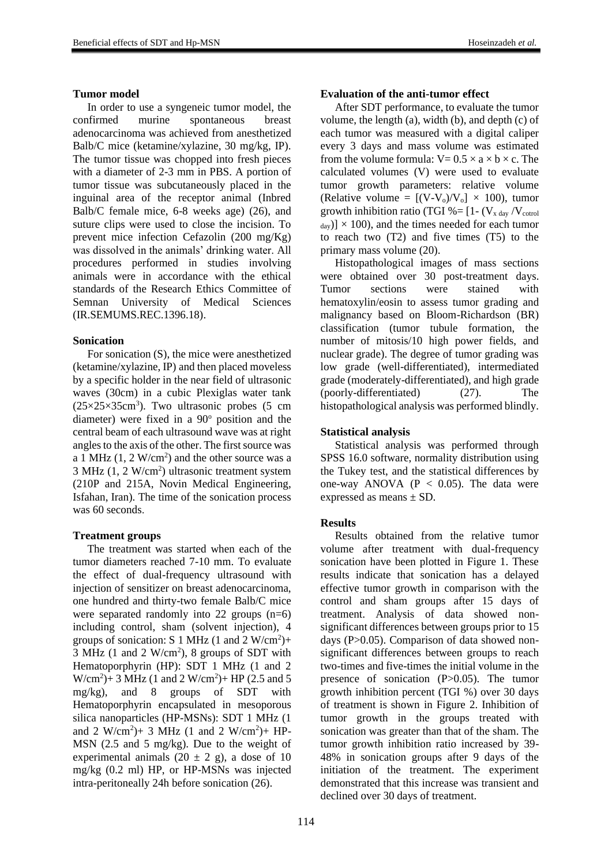#### **Tumor model**

In order to use a syngeneic tumor model, the confirmed murine spontaneous breast adenocarcinoma was achieved from anesthetized Balb/C mice (ketamine/xylazine, 30 mg/kg, IP). The tumor tissue was chopped into fresh pieces with a diameter of 2-3 mm in PBS. A portion of tumor tissue was subcutaneously placed in the inguinal area of the receptor animal (Inbred Balb/C female mice, 6-8 weeks age) (26), and suture clips were used to close the incision. To prevent mice infection Cefazolin (200 mg/Kg) was dissolved in the animals' drinking water. All procedures performed in studies involving animals were in accordance with the ethical standards of the Research Ethics Committee of Semnan University of Medical Sciences (IR.SEMUMS.REC.1396.18).

### **Sonication**

For sonication (S), the mice were anesthetized (ketamine/xylazine, IP) and then placed moveless by a specific holder in the near field of ultrasonic waves (30cm) in a cubic Plexiglas water tank  $(25\times25\times35\text{cm}^3)$ . Two ultrasonic probes (5 cm diameter) were fixed in a  $90^\circ$  position and the central beam of each ultrasound wave was at right angles to the axis of the other. The first source was a 1 MHz  $(1, 2 \text{ W/cm}^2)$  and the other source was a  $3 \text{ MHz} (1, 2 \text{ W/cm}^2)$  ultrasonic treatment system (210P and 215A, Novin Medical Engineering, Isfahan, Iran). The time of the sonication process was 60 seconds.

### **Treatment groups**

The treatment was started when each of the tumor diameters reached 7-10 mm. To evaluate the effect of dual-frequency ultrasound with injection of sensitizer on breast adenocarcinoma, one hundred and thirty-two female Balb/C mice were separated randomly into 22 groups  $(n=6)$ including control, sham (solvent injection), 4 groups of sonication: S 1 MHz  $(1 \text{ and } 2 \text{ W/cm}^2)$ + 3 MHz (1 and 2  $W/cm<sup>2</sup>$ ), 8 groups of SDT with Hematoporphyrin (HP): SDT 1 MHz (1 and 2  $W/cm<sup>2</sup>$ )+ 3 MHz (1 and 2 W/cm<sup>2</sup>)+ HP (2.5 and 5 mg/kg), and 8 groups of SDT with Hematoporphyrin encapsulated in mesoporous silica nanoparticles (HP-MSNs): SDT 1 MHz (1 and 2 W/cm<sup>2</sup>)+ 3 MHz (1 and 2 W/cm<sup>2</sup>)+ HP-MSN (2.5 and 5 mg/kg). Due to the weight of experimental animals  $(20 \pm 2 \text{ g})$ , a dose of 10 mg/kg (0.2 ml) HP, or HP-MSNs was injected intra-peritoneally 24h before sonication (26).

#### **Evaluation of the anti-tumor effect**

After SDT performance, to evaluate the tumor volume, the length  $(a)$ , width  $(b)$ , and depth  $(c)$  of each tumor was measured with a digital caliper every 3 days and mass volume was estimated from the volume formula:  $V= 0.5 \times a \times b \times c$ . The calculated volumes (V) were used to evaluate tumor growth parameters: relative volume (Relative volume =  $[(V-V_0)/V_0] \times 100$ ), tumor growth inhibition ratio (TGI % =  $[1 - (V_{x \text{ day}} / V_{\text{cotrol}})]$  $_{\text{dav}}$ )]  $\times$  100), and the times needed for each tumor to reach two (T2) and five times (T5) to the primary mass volume (20).

Histopathological images of mass sections were obtained over 30 post-treatment days. Tumor sections were stained with hematoxylin/eosin to assess tumor grading and malignancy based on Bloom-Richardson (BR) classification (tumor tubule formation, the number of mitosis/10 high power fields, and nuclear grade). The degree of tumor grading was low grade (well-differentiated), intermediated grade (moderately-differentiated), and high grade (poorly-differentiated) (27). The histopathological analysis was performed blindly.

#### **Statistical analysis**

Statistical analysis was performed through SPSS 16.0 software, normality distribution using the Tukey test, and the statistical differences by one-way ANOVA ( $P < 0.05$ ). The data were expressed as means ± SD.

### **Results**

Results obtained from the relative tumor volume after treatment with dual-frequency sonication have been plotted in Figure 1. These results indicate that sonication has a delayed effective tumor growth in comparison with the control and sham groups after 15 days of treatment. Analysis of data showed nonsignificant differences between groups prior to 15 days (P>0.05). Comparison of data showed nonsignificant differences between groups to reach two-times and five-times the initial volume in the presence of sonication (P>0.05). The tumor growth inhibition percent (TGI %) over 30 days of treatment is shown in Figure 2. Inhibition of tumor growth in the groups treated with sonication was greater than that of the sham. The tumor growth inhibition ratio increased by 39- 48% in sonication groups after 9 days of the initiation of the treatment. The experiment demonstrated that this increase was transient and declined over 30 days of treatment.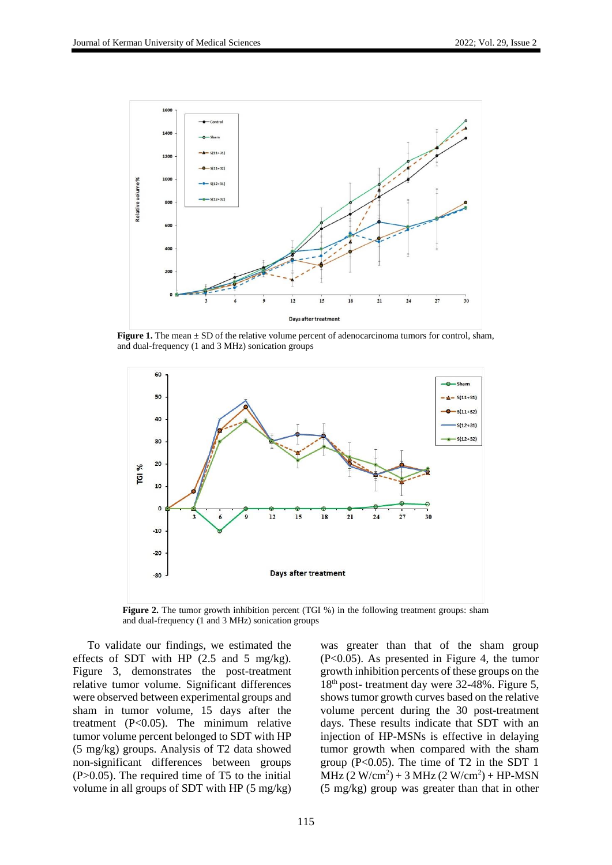

**Figure 1.** The mean  $\pm$  SD of the relative volume percent of adenocarcinoma tumors for control, sham, and dual-frequency (1 and 3 MHz) sonication groups



**Figure 2.** The tumor growth inhibition percent (TGI %) in the following treatment groups: sham and dual-frequency (1 and 3 MHz) sonication groups

To validate our findings, we estimated the effects of SDT with HP (2.5 and 5 mg/kg). Figure 3, demonstrates the post-treatment relative tumor volume. Significant differences were observed between experimental groups and sham in tumor volume, 15 days after the treatment (P<0.05). The minimum relative tumor volume percent belonged to SDT with HP (5 mg/kg) groups. Analysis of T2 data showed non-significant differences between groups  $(P>0.05)$ . The required time of T5 to the initial volume in all groups of SDT with HP (5 mg/kg) was greater than that of the sham group (P<0.05). As presented in Figure 4, the tumor growth inhibition percents of these groups on the 18th post- treatment day were 32-48%. Figure 5, shows tumor growth curves based on the relative volume percent during the 30 post-treatment days. These results indicate that SDT with an injection of HP-MSNs is effective in delaying tumor growth when compared with the sham group ( $P<0.05$ ). The time of T2 in the SDT 1  $MHz (2 W/cm<sup>2</sup>) + 3 MHz (2 W/cm<sup>2</sup>) + HP-MSN$ (5 mg/kg) group was greater than that in other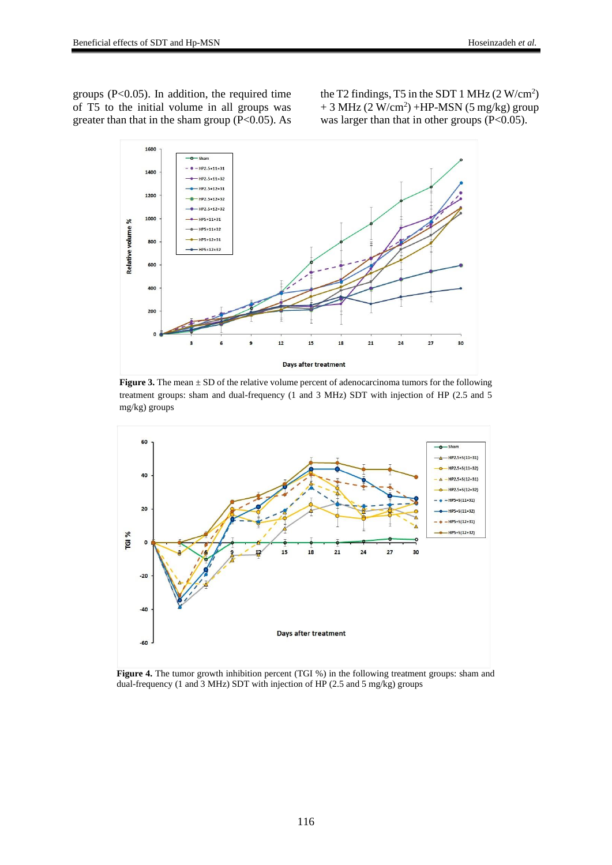groups  $(P<0.05)$ . In addition, the required time of T5 to the initial volume in all groups was greater than that in the sham group  $(P<0.05)$ . As

the T2 findings, T5 in the SDT 1 MHz  $(2 \text{ W/cm}^2)$  $+3$  MHz (2 W/cm<sup>2</sup>) +HP-MSN (5 mg/kg) group was larger than that in other groups (P<0.05).



**Figure 3.** The mean  $\pm$  SD of the relative volume percent of adenocarcinoma tumors for the following treatment groups: sham and dual-frequency (1 and 3 MHz) SDT with injection of HP (2.5 and 5 mg/kg) groups



**Figure 4.** The tumor growth inhibition percent (TGI %) in the following treatment groups: sham and dual-frequency (1 and 3 MHz) SDT with injection of HP (2.5 and 5 mg/kg) groups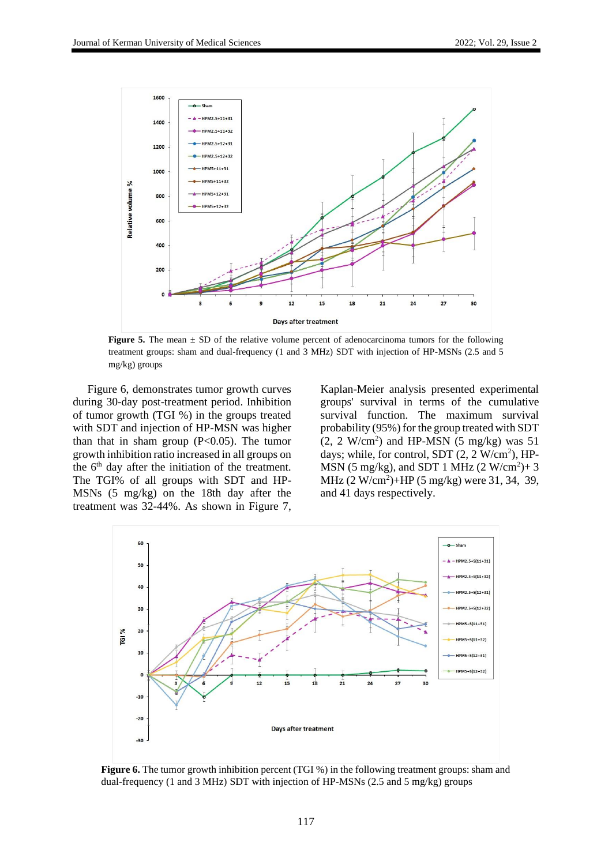

**Figure 5.** The mean  $\pm$  SD of the relative volume percent of adenocarcinoma tumors for the following treatment groups: sham and dual-frequency (1 and 3 MHz) SDT with injection of HP-MSNs (2.5 and 5 mg/kg) groups

Figure 6, demonstrates tumor growth curves during 30-day post-treatment period. Inhibition of tumor growth (TGI %) in the groups treated with SDT and injection of HP-MSN was higher than that in sham group  $(P<0.05)$ . The tumor growth inhibition ratio increased in all groups on the  $6<sup>th</sup>$  day after the initiation of the treatment. The TGI% of all groups with SDT and HP-MSNs (5 mg/kg) on the 18th day after the treatment was 32-44%. As shown in Figure 7,

Kaplan-Meier analysis presented experimental groups' survival in terms of the cumulative survival function. The maximum survival probability (95%) for the group treated with SDT  $(2, 2 \text{ W/cm}^2)$  and HP-MSN  $(5 \text{ mg/kg})$  was  $51$ days; while, for control, SDT  $(2, 2 \text{ W/cm}^2)$ , HP-MSN (5 mg/kg), and SDT 1 MHz (2 W/cm<sup>2</sup>)+3 MHz (2 W/cm<sup>2</sup>)+HP (5 mg/kg) were 31, 34, 39, and 41 days respectively.



**Figure 6.** The tumor growth inhibition percent (TGI %) in the following treatment groups: sham and dual-frequency (1 and 3 MHz) SDT with injection of HP-MSNs (2.5 and 5 mg/kg) groups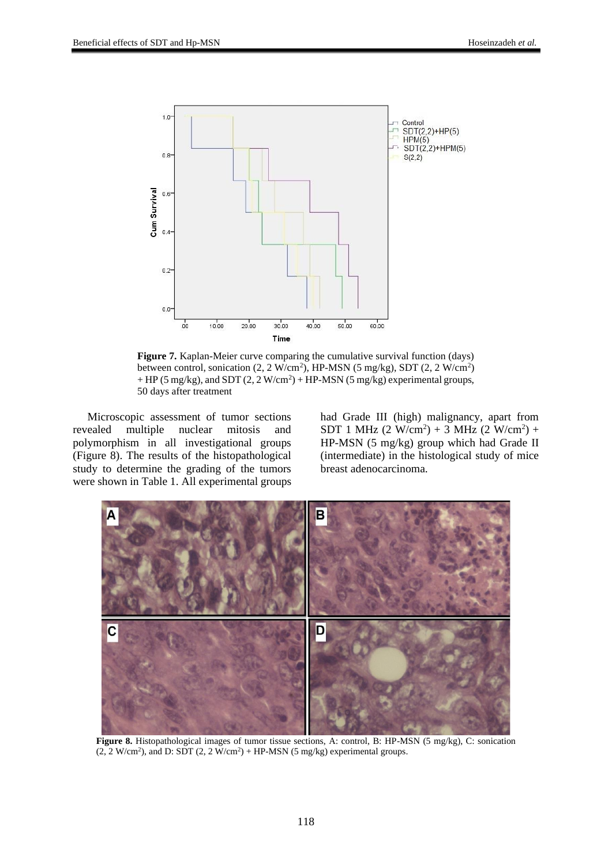

**Figure 7.** Kaplan-Meier curve comparing the cumulative survival function (days) between control, sonication  $(2, 2 \text{ W/cm}^2)$ , HP-MSN  $(5 \text{ mg/kg})$ , SDT  $(2, 2 \text{ W/cm}^2)$  $+$  HP (5 mg/kg), and SDT (2, 2 W/cm<sup>2</sup>)  $+$  HP-MSN (5 mg/kg) experimental groups, 50 days after treatment

Microscopic assessment of tumor sections revealed multiple nuclear mitosis and polymorphism in all investigational groups (Figure 8). The results of the histopathological study to determine the grading of the tumors were shown in Table 1. All experimental groups

had Grade III (high) malignancy, apart from SDT 1 MHz  $(2 \text{ W/cm}^2) + 3 \text{ MHz } (2 \text{ W/cm}^2) +$ HP-MSN (5 mg/kg) group which had Grade II (intermediate) in the histological study of mice breast adenocarcinoma.



**Figure 8.** Histopathological images of tumor tissue sections, A: control, B: HP-MSN (5 mg/kg), C: sonication  $(2, 2 W/cm<sup>2</sup>)$ , and D: SDT  $(2, 2 W/cm<sup>2</sup>) + HP-MSN$  (5 mg/kg) experimental groups.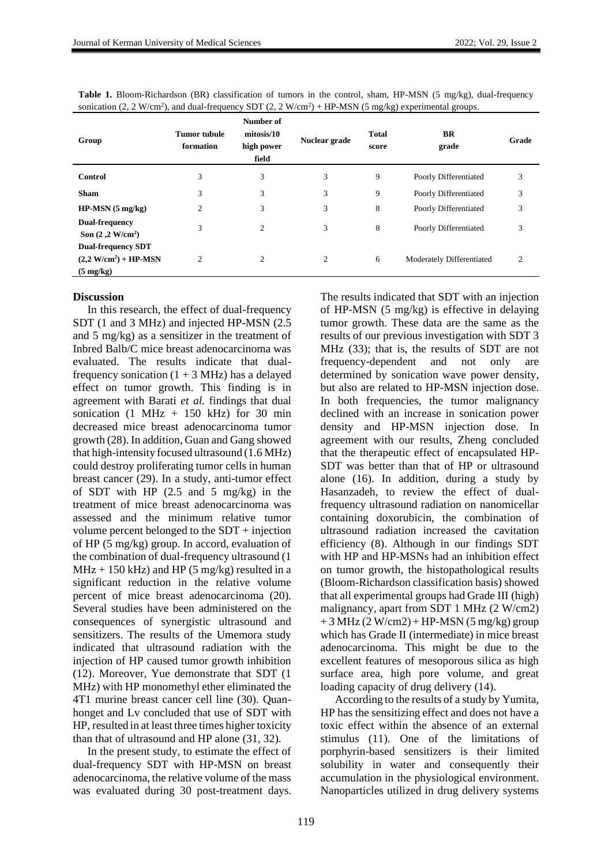| Group                                                                      | <b>Tumor</b> tubule<br>formation | Number of<br>mitosis/10<br>high power<br>field | Nuclear grade | <b>Total</b><br>score | <b>BR</b><br>grade        | Grade          |
|----------------------------------------------------------------------------|----------------------------------|------------------------------------------------|---------------|-----------------------|---------------------------|----------------|
| Control                                                                    | 3                                | 3                                              | 3             | 9                     | Poorly Differentiated     | 3              |
| <b>Sham</b>                                                                | 3                                | 3                                              | 3             | 9                     | Poorly Differentiated     | 3              |
| $HP-MSN(5 mg/kg)$                                                          | $\overline{2}$                   | 3                                              | 3             | 8                     | Poorly Differentiated     | 3              |
| <b>Dual-frequency</b><br>Son $(2, 2 W/cm2)$                                | 3                                | $\overline{c}$                                 | 3             | 8                     | Poorly Differentiated     | 3              |
| <b>Dual-frequency SDT</b><br>$(2,2 W/cm2) + HP-MSN$<br>$(5 \text{ mg/kg})$ | $\overline{2}$                   | 2                                              | 2             | 6                     | Moderately Differentiated | $\overline{2}$ |

**Table 1.** Bloom-Richardson (BR) classification of tumors in the control, sham, HP-MSN (5 mg/kg), dual-frequency sonication  $(2, 2 \text{ W/cm}^2)$ , and dual-frequency SDT  $(2, 2 \text{ W/cm}^2)$  + HP-MSN  $(5 \text{ mg/kg})$  experimental groups.

#### **Discussion**

In this research, the effect of dual-frequency SDT (1 and 3 MHz) and injected HP-MSN (2.5 and 5 mg/kg) as a sensitizer in the treatment of Inbred Balb/C mice breast adenocarcinoma was evaluated. The results indicate that dualfrequency sonication  $(1 + 3$  MHz) has a delayed effect on tumor growth. This finding is in agreement with Barati *et al.* findings that dual sonication (1 MHz + 150 kHz) for 30 min decreased mice breast adenocarcinoma tumor growth (28). In addition, Guan and Gang showed that high-intensity focused ultrasound (1.6 MHz) could destroy proliferating tumor cells in human breast cancer (29). In a study, anti-tumor effect of SDT with HP (2.5 and 5 mg/kg) in the treatment of mice breast adenocarcinoma was assessed and the minimum relative tumor volume percent belonged to the SDT + injection of HP (5 mg/kg) group. In accord, evaluation of the combination of dual-frequency ultrasound (1  $MHz + 150 kHz$ ) and HP (5 mg/kg) resulted in a significant reduction in the relative volume percent of mice breast adenocarcinoma (20). Several studies have been administered on the consequences of synergistic ultrasound and sensitizers. The results of the Umemora study indicated that ultrasound radiation with the injection of HP caused tumor growth inhibition (12). Moreover, Yue demonstrate that SDT (1 MHz) with HP monomethyl ether eliminated the 4T1 murine breast cancer cell line (30). Quanhonget and Lv concluded that use of SDT with HP, resulted in at least three times higher toxicity than that of ultrasound and HP alone (31, 32).

In the present study, to estimate the effect of dual-frequency SDT with HP-MSN on breast adenocarcinoma, the relative volume of the mass was evaluated during 30 post-treatment days.

The results indicated that SDT with an injection of HP-MSN (5 mg/kg) is effective in delaying tumor growth. These data are the same as the results of our previous investigation with SDT 3 MHz (33); that is, the results of SDT are not frequency-dependent and not only are determined by sonication wave power density, but also are related to HP-MSN injection dose. In both frequencies, the tumor malignancy declined with an increase in sonication power density and HP-MSN injection dose. In agreement with our results, Zheng concluded that the therapeutic effect of encapsulated HP-SDT was better than that of HP or ultrasound alone (16). In addition, during a study by Hasanzadeh, to review the effect of dualfrequency ultrasound radiation on nanomicellar containing doxorubicin, the combination of ultrasound radiation increased the cavitation efficiency (8). Although in our findings SDT with HP and HP-MSNs had an inhibition effect on tumor growth, the histopathological results (Bloom-Richardson classification basis) showed that all experimental groups had Grade III (high) malignancy, apart from SDT 1 MHz (2 W/cm2)  $+3$  MHz (2 W/cm2) + HP-MSN (5 mg/kg) group which has Grade II (intermediate) in mice breast adenocarcinoma. This might be due to the excellent features of mesoporous silica as high surface area, high pore volume, and great loading capacity of drug delivery (14).

According to the results of a study by Yumita, HP has the sensitizing effect and does not have a toxic effect within the absence of an external stimulus (11). One of the limitations of porphyrin-based sensitizers is their limited solubility in water and consequently their accumulation in the physiological environment. Nanoparticles utilized in drug delivery systems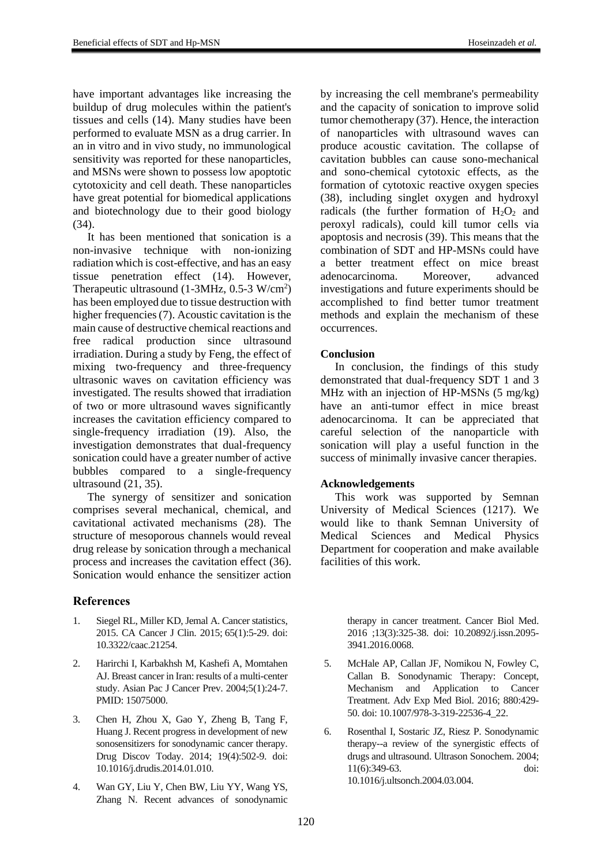have important advantages like increasing the buildup of drug molecules within the patient's tissues and cells (14). Many studies have been performed to evaluate MSN as a drug carrier. In an in vitro and in vivo study, no immunological sensitivity was reported for these nanoparticles, and MSNs were shown to possess low apoptotic cytotoxicity and cell death. These nanoparticles have great potential for biomedical applications and biotechnology due to their good biology (34).

It has been mentioned that sonication is a non-invasive technique with non-ionizing radiation which is cost-effective, and has an easy tissue penetration effect (14). However, Therapeutic ultrasound  $(1\text{-}3\text{MHz}, 0.5\text{-}3 \text{W/cm}^2)$ has been employed due to tissue destruction with higher frequencies (7). Acoustic cavitation is the main cause of destructive chemical reactions and free radical production since ultrasound irradiation. During a study by Feng, the effect of mixing two-frequency and three-frequency ultrasonic waves on cavitation efficiency was investigated. The results showed that irradiation of two or more ultrasound waves significantly increases the cavitation efficiency compared to single-frequency irradiation (19). Also, the investigation demonstrates that dual-frequency sonication could have a greater number of active bubbles compared to a single-frequency ultrasound (21, 35).

The synergy of sensitizer and sonication comprises several mechanical, chemical, and cavitational activated mechanisms (28). The structure of mesoporous channels would reveal drug release by sonication through a mechanical process and increases the cavitation effect (36). Sonication would enhance the sensitizer action

# **References**

- 1. Siegel RL, Miller KD, Jemal A. Cancer statistics, 2015. CA Cancer J Clin. 2015; 65(1):5-29. doi: 10.3322/caac.21254.
- 2. Harirchi I, Karbakhsh M, Kashefi A, Momtahen AJ. Breast cancer in Iran: results of a multi-center study. Asian Pac J Cancer Prev. 2004;5(1):24-7. PMID: 15075000.
- 3. Chen H, Zhou X, Gao Y, Zheng B, Tang F, Huang J. Recent progress in development of new sonosensitizers for sonodynamic cancer therapy. Drug Discov Today. 2014; 19(4):502-9. doi: 10.1016/j.drudis.2014.01.010.
- 4. Wan GY, Liu Y, Chen BW, Liu YY, Wang YS, Zhang N. Recent advances of sonodynamic

by increasing the cell membrane's permeability and the capacity of sonication to improve solid tumor chemotherapy (37). Hence, the interaction of nanoparticles with ultrasound waves can produce acoustic cavitation. The collapse of cavitation bubbles can cause sono-mechanical and sono-chemical cytotoxic effects, as the formation of cytotoxic reactive oxygen species (38), including singlet oxygen and hydroxyl radicals (the further formation of  $H_2O_2$  and peroxyl radicals), could kill tumor cells via apoptosis and necrosis (39). This means that the combination of SDT and HP-MSNs could have a better treatment effect on mice breast adenocarcinoma. Moreover, advanced investigations and future experiments should be accomplished to find better tumor treatment methods and explain the mechanism of these occurrences.

# **Conclusion**

In conclusion, the findings of this study demonstrated that dual-frequency SDT 1 and 3 MHz with an injection of HP-MSNs (5 mg/kg) have an anti-tumor effect in mice breast adenocarcinoma. It can be appreciated that careful selection of the nanoparticle with sonication will play a useful function in the success of minimally invasive cancer therapies.

# **Acknowledgements**

This work was supported by Semnan University of Medical Sciences (1217). We would like to thank Semnan University of Medical Sciences and Medical Physics Department for cooperation and make available facilities of this work.

> therapy in cancer treatment. Cancer Biol Med. 2016 ;13(3):325-38. doi: 10.20892/j.issn.2095- 3941.2016.0068.

- 5. McHale AP, Callan JF, Nomikou N, Fowley C, Callan B. Sonodynamic Therapy: Concept, Mechanism and Application to Cancer Treatment. Adv Exp Med Biol. 2016; 880:429- 50. doi: 10.1007/978-3-319-22536-4\_22.
- 6. Rosenthal I, Sostaric JZ, Riesz P. Sonodynamic therapy--a review of the synergistic effects of drugs and ultrasound. Ultrason Sonochem. 2004; 11(6):349-63. doi: 10.1016/j.ultsonch.2004.03.004.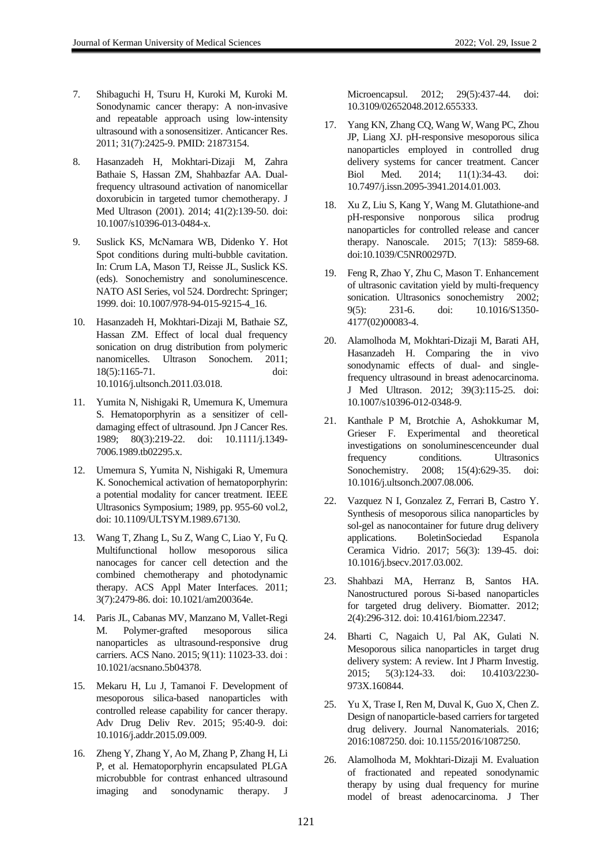- 7. Shibaguchi H, Tsuru H, Kuroki M, Kuroki M. Sonodynamic cancer therapy: A non-invasive and repeatable approach using low-intensity ultrasound with a sonosensitizer. Anticancer Res. 2011; 31(7):2425-9. PMID: 21873154.
- 8. Hasanzadeh H, Mokhtari-Dizaji M, Zahra Bathaie S, Hassan ZM, Shahbazfar AA. Dualfrequency ultrasound activation of nanomicellar doxorubicin in targeted tumor chemotherapy. J Med Ultrason (2001). 2014; 41(2):139-50. doi: 10.1007/s10396-013-0484-x.
- 9. Suslick KS, McNamara WB, Didenko Y. Hot Spot conditions during multi-bubble cavitation. In: Crum LA, Mason TJ, Reisse JL, Suslick KS. (eds). Sonochemistry and sonoluminescence. NATO ASI Series, vol 524. Dordrecht: Springer; 1999. doi: 10.1007/978-94-015-9215-4\_16.
- 10. Hasanzadeh H, Mokhtari-Dizaji M, Bathaie SZ, Hassan ZM. Effect of local dual frequency sonication on drug distribution from polymeric nanomicelles. Ultrason Sonochem. 2011; 18(5):1165-71. doi: 10.1016/j.ultsonch.2011.03.018.
- 11. Yumita N, Nishigaki R, Umemura K, Umemura S. Hematoporphyrin as a sensitizer of celldamaging effect of ultrasound. Jpn J Cancer Res. 1989; 80(3):219-22. doi: 10.1111/j.1349- 7006.1989.tb02295.x.
- 12. Umemura S, Yumita N, Nishigaki R, Umemura K. Sonochemical activation of hematoporphyrin: a potential modality for cancer treatment. IEEE Ultrasonics Symposium; 1989, pp. 955-60 vol.2, doi: 10.1109/ULTSYM.1989.67130.
- 13. Wang T, Zhang L, Su Z, Wang C, Liao Y, Fu Q. Multifunctional hollow mesoporous silica nanocages for cancer cell detection and the combined chemotherapy and photodynamic therapy. ACS Appl Mater Interfaces. 2011; 3(7):2479-86. doi: 10.1021/am200364e.
- 14. Paris JL, Cabanas MV, Manzano M, Vallet-Regi M. Polymer-grafted mesoporous silica nanoparticles as ultrasound-responsive drug carriers. ACS Nano. 2015; 9(11): 11023-33. doi : 10.1021/acsnano.5b04378.
- 15. Mekaru H, Lu J, Tamanoi F. Development of mesoporous silica-based nanoparticles with controlled release capability for cancer therapy. Adv Drug Deliv Rev. 2015; 95:40-9. doi: 10.1016/j.addr.2015.09.009.
- 16. Zheng Y, Zhang Y, Ao M, Zhang P, Zhang H, Li P, et al. Hematoporphyrin encapsulated PLGA microbubble for contrast enhanced ultrasound imaging and sonodynamic therapy. J

Microencapsul. 2012; 29(5):437-44. doi: 10.3109/02652048.2012.655333.

- 17. Yang KN, Zhang CQ, Wang W, Wang PC, Zhou JP, Liang XJ. pH-responsive mesoporous silica nanoparticles employed in controlled drug delivery systems for cancer treatment. Cancer Biol Med. 2014; 11(1):34-43. doi: 10.7497/j.issn.2095-3941.2014.01.003.
- 18. Xu Z, Liu S, Kang Y, Wang M. Glutathione-and pH-responsive nonporous silica prodrug nanoparticles for controlled release and cancer therapy. Nanoscale. 2015; 7(13): 5859-68. doi:10.1039/C5NR00297D.
- 19. Feng R, Zhao Y, Zhu C, Mason T. Enhancement of ultrasonic cavitation yield by multi-frequency sonication. Ultrasonics sonochemistry 2002; 9(5): 231-6. doi: 10.1016/S1350- 4177(02)00083-4.
- 20. Alamolhoda M, Mokhtari-Dizaji M, Barati AH, Hasanzadeh H. Comparing the in vivo sonodynamic effects of dual- and singlefrequency ultrasound in breast adenocarcinoma. J Med Ultrason. 2012; 39(3):115-25. doi: 10.1007/s10396-012-0348-9.
- 21. Kanthale P M, Brotchie A, Ashokkumar M, Grieser F. Experimental and theoretical investigations on sonoluminescenceunder dual frequency conditions. Ultrasonics Sonochemistry. 2008; 15(4):629-35. doi: 10.1016/j.ultsonch.2007.08.006.
- 22. Vazquez N I, Gonzalez Z, Ferrari B, Castro Y. Synthesis of mesoporous silica nanoparticles by sol-gel as nanocontainer for future drug delivery applications. BoletinSociedad Espanola Ceramica Vidrio. 2017; 56(3): 139-45. doi: 10.1016/j.bsecv.2017.03.002.
- 23. Shahbazi MA, Herranz B, Santos HA. Nanostructured porous Si-based nanoparticles for targeted drug delivery. Biomatter. 2012; 2(4):296-312. doi: 10.4161/biom.22347.
- 24. Bharti C, Nagaich U, Pal AK, Gulati N. Mesoporous silica nanoparticles in target drug delivery system: A review. Int J Pharm Investig. 2015; 5(3):124-33. doi: 10.4103/2230- 973X.160844.
- 25. Yu X, Trase I, Ren M, Duval K, Guo X, Chen Z. Design of nanoparticle-based carriers for targeted drug delivery. Journal Nanomaterials. 2016; 2016:1087250. doi: 10.1155/2016/1087250.
- 26. Alamolhoda M, Mokhtari-Dizaji M. Evaluation of fractionated and repeated sonodynamic therapy by using dual frequency for murine model of breast adenocarcinoma. J Ther